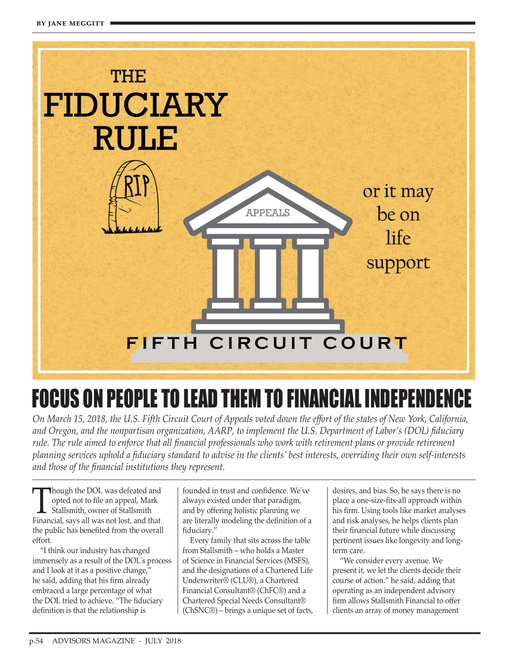

## FOCUS ON PEOPLE TO LEAD THEM TO FINANCIAL INDEPENDENCE

*On March 15, 2018, the U.S. Fifth Circuit Court of Appeals voted down the effort of the states of New York, California, and Oregon, and the nonpartisan organization, AARP, to implement the U.S. Department of Labor's (DOL) fiduciary rule. The rule aimed to enforce that all financial professionals who work with retirement plans or provide retirement planning services uphold a fiduciary standard to advise in the clients' best interests, overriding their own self-interests and those of the financial institutions they represent.*

Though the DOL was defeated and<br>opted not to file an appeal, Mark<br>Stallsmith, owner of Stallsmith opted not to file an appeal, Mark Stallsmith, owner of Stallsmith Financial, says all was not lost, and that the public has benefited from the overall effort.

"I think our industry has changed immensely as a result of the DOL's process and I look at it as a positive change," he said, adding that his firm already embraced a large percentage of what the DOL tried to achieve. "The fiduciary definition is that the relationship is

founded in trust and confidence. We've always existed under that paradigm, and by offering holistic planning we are literally modeling the definition of a fiduciary."

Every family that sits across the table from Stallsmith – who holds a Master of Science in Financial Services (MSFS), and the designations of a Chartered Life Underwriter® (CLU®), a Chartered Financial Consultant® (ChFC®) and a Chartered Special Needs Consultant® (ChSNC®) – brings a unique set of facts, desires, and bias. So, he says there is no place a one-size-fits-all approach within his firm. Using tools like market analyses and risk analyses, he helps clients plan their financial future while discussing pertinent issues like longevity and longterm care.

"We consider every avenue. We present it, we let the clients decide their course of action." he said, adding that operating as an independent advisory firm allows Stallsmith Financial to offer clients an array of money management